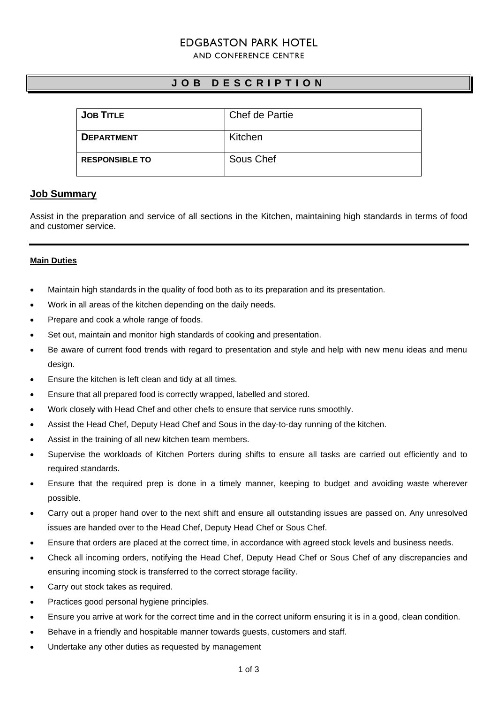# **FDGBASTON PARK HOTFL**

AND CONFERENCE CENTRE

## **J O B D E S C R I P T I O N**

| <b>JOB TITLE</b>      | Chef de Partie |
|-----------------------|----------------|
| <b>DEPARTMENT</b>     | Kitchen        |
| <b>RESPONSIBLE TO</b> | Sous Chef      |

## **Job Summary**

Assist in the preparation and service of all sections in the Kitchen, maintaining high standards in terms of food and customer service.

### **Main Duties**

- Maintain high standards in the quality of food both as to its preparation and its presentation.
- Work in all areas of the kitchen depending on the daily needs.
- Prepare and cook a whole range of foods.
- Set out, maintain and monitor high standards of cooking and presentation.
- Be aware of current food trends with regard to presentation and style and help with new menu ideas and menu design.
- Ensure the kitchen is left clean and tidy at all times.
- Ensure that all prepared food is correctly wrapped, labelled and stored.
- Work closely with Head Chef and other chefs to ensure that service runs smoothly.
- Assist the Head Chef, Deputy Head Chef and Sous in the day-to-day running of the kitchen.
- Assist in the training of all new kitchen team members.
- Supervise the workloads of Kitchen Porters during shifts to ensure all tasks are carried out efficiently and to required standards.
- Ensure that the required prep is done in a timely manner, keeping to budget and avoiding waste wherever possible.
- Carry out a proper hand over to the next shift and ensure all outstanding issues are passed on. Any unresolved issues are handed over to the Head Chef, Deputy Head Chef or Sous Chef.
- Ensure that orders are placed at the correct time, in accordance with agreed stock levels and business needs.
- Check all incoming orders, notifying the Head Chef, Deputy Head Chef or Sous Chef of any discrepancies and ensuring incoming stock is transferred to the correct storage facility.
- Carry out stock takes as required.
- Practices good personal hygiene principles.
- Ensure you arrive at work for the correct time and in the correct uniform ensuring it is in a good, clean condition.
- Behave in a friendly and hospitable manner towards guests, customers and staff.
- Undertake any other duties as requested by management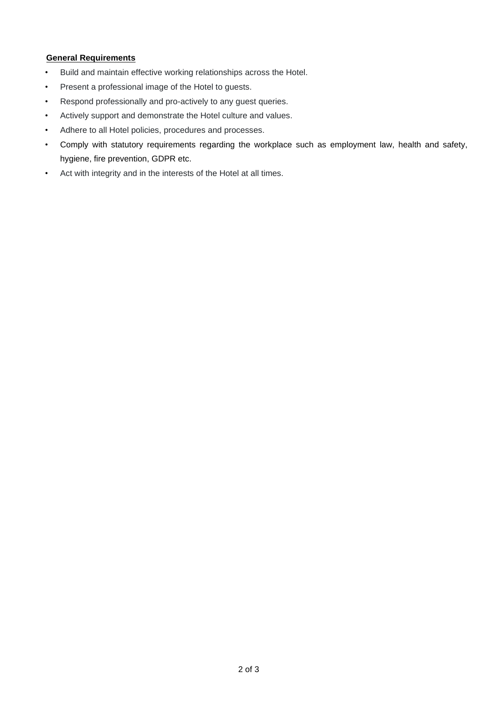## **General Requirements**

- Build and maintain effective working relationships across the Hotel.
- Present a professional image of the Hotel to guests.
- Respond professionally and pro-actively to any guest queries.
- Actively support and demonstrate the Hotel culture and values.
- Adhere to all Hotel policies, procedures and processes.
- Comply with statutory requirements regarding the workplace such as employment law, health and safety, hygiene, fire prevention, GDPR etc.
- Act with integrity and in the interests of the Hotel at all times.